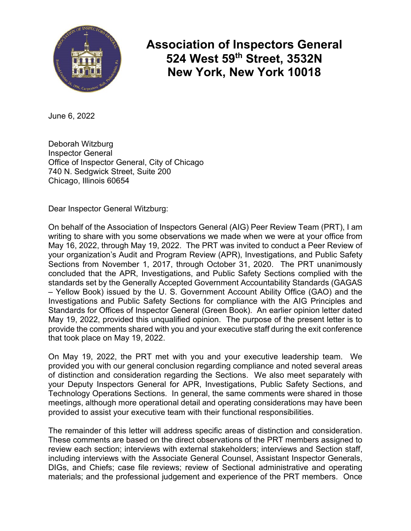

**Association of Inspectors General 524 West 59th Street, 3532N New York, New York 10018**

June 6, 2022

Deborah Witzburg Inspector General Office of Inspector General, City of Chicago 740 N. Sedgwick Street, Suite 200 Chicago, Illinois 60654

Dear Inspector General Witzburg:

On behalf of the Association of Inspectors General (AIG) Peer Review Team (PRT), I am writing to share with you some observations we made when we were at your office from May 16, 2022, through May 19, 2022. The PRT was invited to conduct a Peer Review of your organization's Audit and Program Review (APR), Investigations, and Public Safety Sections from November 1, 2017, through October 31, 2020. The PRT unanimously concluded that the APR, Investigations, and Public Safety Sections complied with the standards set by the Generally Accepted Government Accountability Standards (GAGAS – Yellow Book) issued by the U. S. Government Account Ability Office (GAO) and the Investigations and Public Safety Sections for compliance with the AIG Principles and Standards for Offices of Inspector General (Green Book). An earlier opinion letter dated May 19, 2022, provided this unqualified opinion. The purpose of the present letter is to provide the comments shared with you and your executive staff during the exit conference that took place on May 19, 2022.

On May 19, 2022, the PRT met with you and your executive leadership team. We provided you with our general conclusion regarding compliance and noted several areas of distinction and consideration regarding the Sections. We also meet separately with your Deputy Inspectors General for APR, Investigations, Public Safety Sections, and Technology Operations Sections. In general, the same comments were shared in those meetings, although more operational detail and operating considerations may have been provided to assist your executive team with their functional responsibilities.

The remainder of this letter will address specific areas of distinction and consideration. These comments are based on the direct observations of the PRT members assigned to review each section; interviews with external stakeholders; interviews and Section staff, including interviews with the Associate General Counsel, Assistant Inspector Generals, DIGs, and Chiefs; case file reviews; review of Sectional administrative and operating materials; and the professional judgement and experience of the PRT members. Once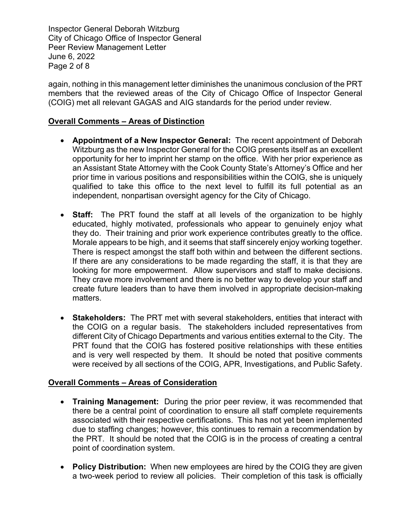Inspector General Deborah Witzburg City of Chicago Office of Inspector General Peer Review Management Letter June 6, 2022 Page 2 of 8

again, nothing in this management letter diminishes the unanimous conclusion of the PRT members that the reviewed areas of the City of Chicago Office of Inspector General (COIG) met all relevant GAGAS and AIG standards for the period under review.

# **Overall Comments – Areas of Distinction**

- **Appointment of a New Inspector General:** The recent appointment of Deborah Witzburg as the new Inspector General for the COIG presents itself as an excellent opportunity for her to imprint her stamp on the office. With her prior experience as an Assistant State Attorney with the Cook County State's Attorney's Office and her prior time in various positions and responsibilities within the COIG, she is uniquely qualified to take this office to the next level to fulfill its full potential as an independent, nonpartisan oversight agency for the City of Chicago.
- **Staff:** The PRT found the staff at all levels of the organization to be highly educated, highly motivated, professionals who appear to genuinely enjoy what they do. Their training and prior work experience contributes greatly to the office. Morale appears to be high, and it seems that staff sincerely enjoy working together. There is respect amongst the staff both within and between the different sections. If there are any considerations to be made regarding the staff, it is that they are looking for more empowerment. Allow supervisors and staff to make decisions. They crave more involvement and there is no better way to develop your staff and create future leaders than to have them involved in appropriate decision-making matters.
- **Stakeholders:** The PRT met with several stakeholders, entities that interact with the COIG on a regular basis. The stakeholders included representatives from different City of Chicago Departments and various entities external to the City. The PRT found that the COIG has fostered positive relationships with these entities and is very well respected by them. It should be noted that positive comments were received by all sections of the COIG, APR, Investigations, and Public Safety.

### **Overall Comments – Areas of Consideration**

- **Training Management:** During the prior peer review, it was recommended that there be a central point of coordination to ensure all staff complete requirements associated with their respective certifications. This has not yet been implemented due to staffing changes; however, this continues to remain a recommendation by the PRT. It should be noted that the COIG is in the process of creating a central point of coordination system.
- **Policy Distribution:** When new employees are hired by the COIG they are given a two-week period to review all policies. Their completion of this task is officially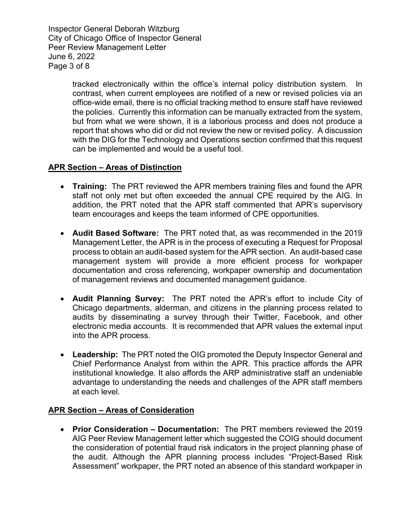Inspector General Deborah Witzburg City of Chicago Office of Inspector General Peer Review Management Letter June 6, 2022 Page 3 of 8

> tracked electronically within the office's internal policy distribution system. In contrast, when current employees are notified of a new or revised policies via an office-wide email, there is no official tracking method to ensure staff have reviewed the policies. Currently this information can be manually extracted from the system, but from what we were shown, it is a laborious process and does not produce a report that shows who did or did not review the new or revised policy. A discussion with the DIG for the Technology and Operations section confirmed that this request can be implemented and would be a useful tool.

# **APR Section – Areas of Distinction**

- **Training:** The PRT reviewed the APR members training files and found the APR staff not only met but often exceeded the annual CPE required by the AIG. In addition, the PRT noted that the APR staff commented that APR's supervisory team encourages and keeps the team informed of CPE opportunities.
- **Audit Based Software:** The PRT noted that, as was recommended in the 2019 Management Letter, the APR is in the process of executing a Request for Proposal process to obtain an audit-based system for the APR section. An audit-based case management system will provide a more efficient process for workpaper documentation and cross referencing, workpaper ownership and documentation of management reviews and documented management guidance.
- **Audit Planning Survey:** The PRT noted the APR's effort to include City of Chicago departments, alderman, and citizens in the planning process related to audits by disseminating a survey through their Twitter, Facebook, and other electronic media accounts. It is recommended that APR values the external input into the APR process.
- **Leadership:** The PRT noted the OIG promoted the Deputy Inspector General and Chief Performance Analyst from within the APR. This practice affords the APR institutional knowledge. It also affords the ARP administrative staff an undeniable advantage to understanding the needs and challenges of the APR staff members at each level.

### **APR Section – Areas of Consideration**

• **Prior Consideration – Documentation:** The PRT members reviewed the 2019 AIG Peer Review Management letter which suggested the COIG should document the consideration of potential fraud risk indicators in the project planning phase of the audit. Although the APR planning process includes "Project-Based Risk Assessment" workpaper, the PRT noted an absence of this standard workpaper in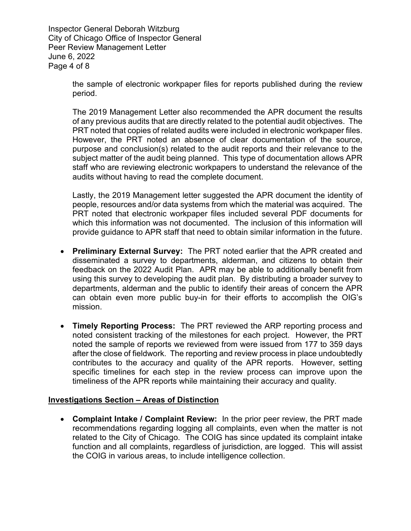Inspector General Deborah Witzburg City of Chicago Office of Inspector General Peer Review Management Letter June 6, 2022 Page 4 of 8

> the sample of electronic workpaper files for reports published during the review period.

> The 2019 Management Letter also recommended the APR document the results of any previous audits that are directly related to the potential audit objectives. The PRT noted that copies of related audits were included in electronic workpaper files. However, the PRT noted an absence of clear documentation of the source, purpose and conclusion(s) related to the audit reports and their relevance to the subject matter of the audit being planned. This type of documentation allows APR staff who are reviewing electronic workpapers to understand the relevance of the audits without having to read the complete document.

> Lastly, the 2019 Management letter suggested the APR document the identity of people, resources and/or data systems from which the material was acquired. The PRT noted that electronic workpaper files included several PDF documents for which this information was not documented. The inclusion of this information will provide guidance to APR staff that need to obtain similar information in the future.

- **Preliminary External Survey:** The PRT noted earlier that the APR created and disseminated a survey to departments, alderman, and citizens to obtain their feedback on the 2022 Audit Plan. APR may be able to additionally benefit from using this survey to developing the audit plan. By distributing a broader survey to departments, alderman and the public to identify their areas of concern the APR can obtain even more public buy-in for their efforts to accomplish the OIG's mission.
- **Timely Reporting Process:** The PRT reviewed the ARP reporting process and noted consistent tracking of the milestones for each project. However, the PRT noted the sample of reports we reviewed from were issued from 177 to 359 days after the close of fieldwork. The reporting and review process in place undoubtedly contributes to the accuracy and quality of the APR reports. However, setting specific timelines for each step in the review process can improve upon the timeliness of the APR reports while maintaining their accuracy and quality.

### **Investigations Section – Areas of Distinction**

• **Complaint Intake / Complaint Review:** In the prior peer review, the PRT made recommendations regarding logging all complaints, even when the matter is not related to the City of Chicago. The COIG has since updated its complaint intake function and all complaints, regardless of jurisdiction, are logged. This will assist the COIG in various areas, to include intelligence collection.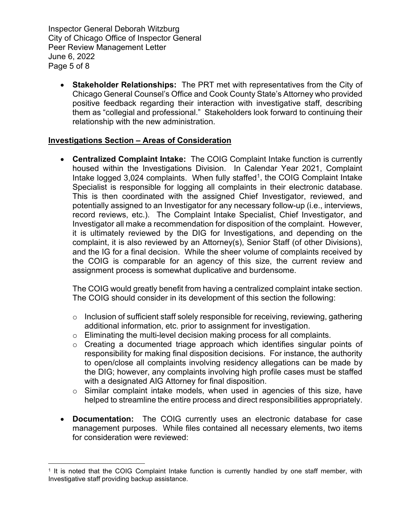Inspector General Deborah Witzburg City of Chicago Office of Inspector General Peer Review Management Letter June 6, 2022 Page 5 of 8

• **Stakeholder Relationships:** The PRT met with representatives from the City of Chicago General Counsel's Office and Cook County State's Attorney who provided positive feedback regarding their interaction with investigative staff, describing them as "collegial and professional." Stakeholders look forward to continuing their relationship with the new administration.

## **Investigations Section – Areas of Consideration**

• **Centralized Complaint Intake:** The COIG Complaint Intake function is currently housed within the Investigations Division. In Calendar Year 2021, Complaint Intake logged  $3,024$  complaints. When fully staffed<sup>1</sup>, the COIG Complaint Intake Specialist is responsible for logging all complaints in their electronic database. This is then coordinated with the assigned Chief Investigator, reviewed, and potentially assigned to an Investigator for any necessary follow-up (i.e., interviews, record reviews, etc.). The Complaint Intake Specialist, Chief Investigator, and Investigator all make a recommendation for disposition of the complaint. However, it is ultimately reviewed by the DIG for Investigations, and depending on the complaint, it is also reviewed by an Attorney(s), Senior Staff (of other Divisions), and the IG for a final decision. While the sheer volume of complaints received by the COIG is comparable for an agency of this size, the current review and assignment process is somewhat duplicative and burdensome.

The COIG would greatly benefit from having a centralized complaint intake section. The COIG should consider in its development of this section the following:

- $\circ$  Inclusion of sufficient staff solely responsible for receiving, reviewing, gathering additional information, etc. prior to assignment for investigation.
- o Eliminating the multi-level decision making process for all complaints.
- o Creating a documented triage approach which identifies singular points of responsibility for making final disposition decisions. For instance, the authority to open/close all complaints involving residency allegations can be made by the DIG; however, any complaints involving high profile cases must be staffed with a designated AIG Attorney for final disposition.
- o Similar complaint intake models, when used in agencies of this size, have helped to streamline the entire process and direct responsibilities appropriately.
- **Documentation:** The COIG currently uses an electronic database for case management purposes. While files contained all necessary elements, two items for consideration were reviewed:

<span id="page-4-0"></span><sup>&</sup>lt;sup>1</sup> It is noted that the COIG Complaint Intake function is currently handled by one staff member, with Investigative staff providing backup assistance.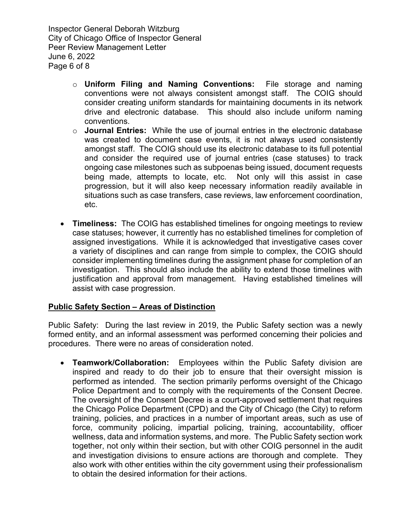Inspector General Deborah Witzburg City of Chicago Office of Inspector General Peer Review Management Letter June 6, 2022 Page 6 of 8

- o **Uniform Filing and Naming Conventions:** File storage and naming conventions were not always consistent amongst staff. The COIG should consider creating uniform standards for maintaining documents in its network drive and electronic database. This should also include uniform naming conventions.
- o **Journal Entries:** While the use of journal entries in the electronic database was created to document case events, it is not always used consistently amongst staff. The COIG should use its electronic database to its full potential and consider the required use of journal entries (case statuses) to track ongoing case milestones such as subpoenas being issued, document requests being made, attempts to locate, etc. Not only will this assist in case progression, but it will also keep necessary information readily available in situations such as case transfers, case reviews, law enforcement coordination, etc.
- **Timeliness:** The COIG has established timelines for ongoing meetings to review case statuses; however, it currently has no established timelines for completion of assigned investigations. While it is acknowledged that investigative cases cover a variety of disciplines and can range from simple to complex, the COIG should consider implementing timelines during the assignment phase for completion of an investigation. This should also include the ability to extend those timelines with justification and approval from management. Having established timelines will assist with case progression.

### **Public Safety Section – Areas of Distinction**

Public Safety: During the last review in 2019, the Public Safety section was a newly formed entity, and an informal assessment was performed concerning their policies and procedures. There were no areas of consideration noted.

• **Teamwork/Collaboration:** Employees within the Public Safety division are inspired and ready to do their job to ensure that their oversight mission is performed as intended. The section primarily performs oversight of the Chicago Police Department and to comply with the requirements of the Consent Decree. The oversight of the Consent Decree is a court-approved settlement that requires the Chicago Police Department (CPD) and the City of Chicago (the City) to reform training, policies, and practices in a number of important areas, such as use of force, community policing, impartial policing, training, accountability, officer wellness, data and information systems, and more. The Public Safety section work together, not only within their section, but with other COIG personnel in the audit and investigation divisions to ensure actions are thorough and complete. They also work with other entities within the city government using their professionalism to obtain the desired information for their actions.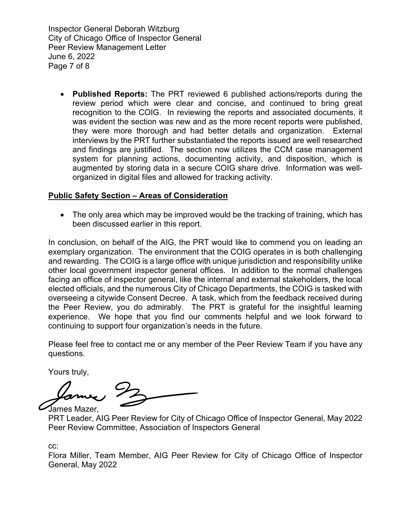Inspector General Deborah Witzburg City of Chicago Office of Inspector General Peer Review Management Letter June 6, 2022 Page 7 of 8

• **Published Reports:** The PRT reviewed 6 published actions/reports during the review period which were clear and concise, and continued to bring great recognition to the COIG. In reviewing the reports and associated documents, it was evident the section was new and as the more recent reports were published, they were more thorough and had better details and organization. External interviews by the PRT further substantiated the reports issued are well researched and findings are justified. The section now utilizes the CCM case management system for planning actions, documenting activity, and disposition, which is augmented by storing data in a secure COIG share drive. Information was wellorganized in digital files and allowed for tracking activity.

## **Public Safety Section – Areas of Consideration**

• The only area which may be improved would be the tracking of training, which has been discussed earlier in this report.

In conclusion, on behalf of the AIG, the PRT would like to commend you on leading an exemplary organization. The environment that the COIG operates in is both challenging and rewarding. The COIG is a large office with unique jurisdiction and responsibility unlike other local government inspector general offices. In addition to the normal challenges facing an office of inspector general, like the internal and external stakeholders, the local elected officials, and the numerous City of Chicago Departments, the COIG is tasked with overseeing a citywide Consent Decree. A task, which from the feedback received during the Peer Review, you do admirably. The PRT is grateful for the insightful learning experience. We hope that you find our comments helpful and we look forward to continuing to support four organization's needs in the future.

Please feel free to contact me or any member of the Peer Review Team if you have any questions.

Yours truly,

James Mazer,

PRT Leader, AIG Peer Review for City of Chicago Office of Inspector General, May 2022 Peer Review Committee, Association of Inspectors General

cc:

Flora Miller, Team Member, AIG Peer Review for City of Chicago Office of Inspector General, May 2022